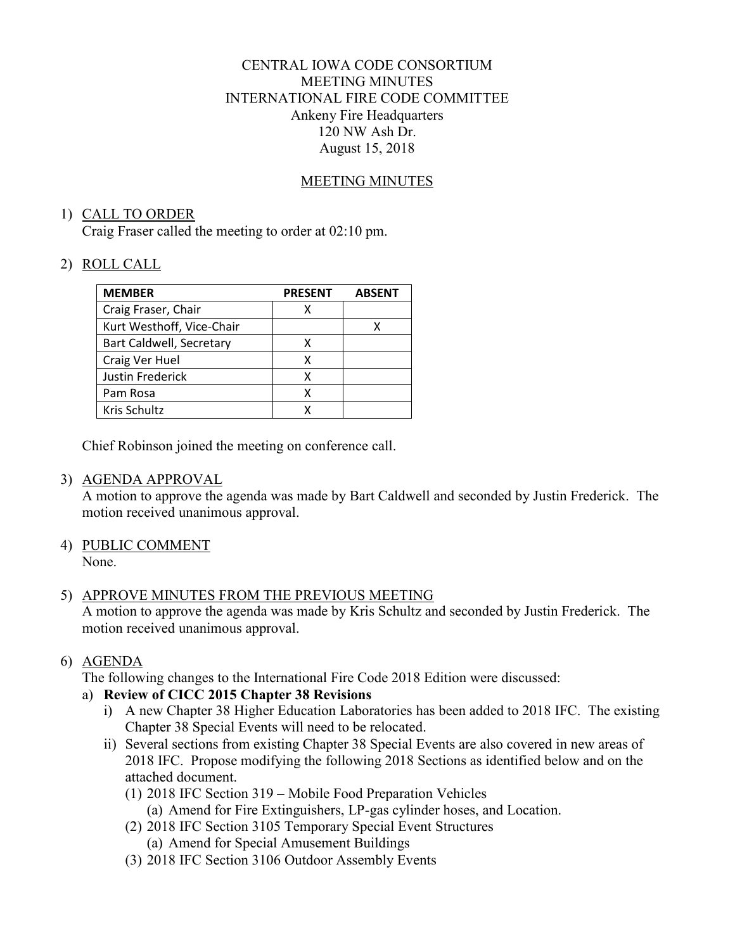# CENTRAL IOWA CODE CONSORTIUM MEETING MINUTES INTERNATIONAL FIRE CODE COMMITTEE Ankeny Fire Headquarters 120 NW Ash Dr. August 15, 2018

### MEETING MINUTES

### 1) CALL TO ORDER

Craig Fraser called the meeting to order at 02:10 pm.

# 2) ROLL CALL

| <b>MEMBER</b>             | <b>PRESENT</b> | <b>ABSENT</b> |
|---------------------------|----------------|---------------|
| Craig Fraser, Chair       | х              |               |
| Kurt Westhoff, Vice-Chair |                |               |
| Bart Caldwell, Secretary  | х              |               |
| Craig Ver Huel            | х              |               |
| Justin Frederick          | x              |               |
| Pam Rosa                  | x              |               |
| Kris Schultz              |                |               |

Chief Robinson joined the meeting on conference call.

# 3) AGENDA APPROVAL

A motion to approve the agenda was made by Bart Caldwell and seconded by Justin Frederick. The motion received unanimous approval.

4) PUBLIC COMMENT None.

# 5) APPROVE MINUTES FROM THE PREVIOUS MEETING

A motion to approve the agenda was made by Kris Schultz and seconded by Justin Frederick. The motion received unanimous approval.

# 6) AGENDA

The following changes to the International Fire Code 2018 Edition were discussed:

# a) **Review of CICC 2015 Chapter 38 Revisions**

- i) A new Chapter 38 Higher Education Laboratories has been added to 2018 IFC. The existing Chapter 38 Special Events will need to be relocated.
- ii) Several sections from existing Chapter 38 Special Events are also covered in new areas of 2018 IFC. Propose modifying the following 2018 Sections as identified below and on the attached document.
	- (1) 2018 IFC Section 319 Mobile Food Preparation Vehicles (a) Amend for Fire Extinguishers, LP-gas cylinder hoses, and Location.
	- (2) 2018 IFC Section 3105 Temporary Special Event Structures
		- (a) Amend for Special Amusement Buildings
	- (3) 2018 IFC Section 3106 Outdoor Assembly Events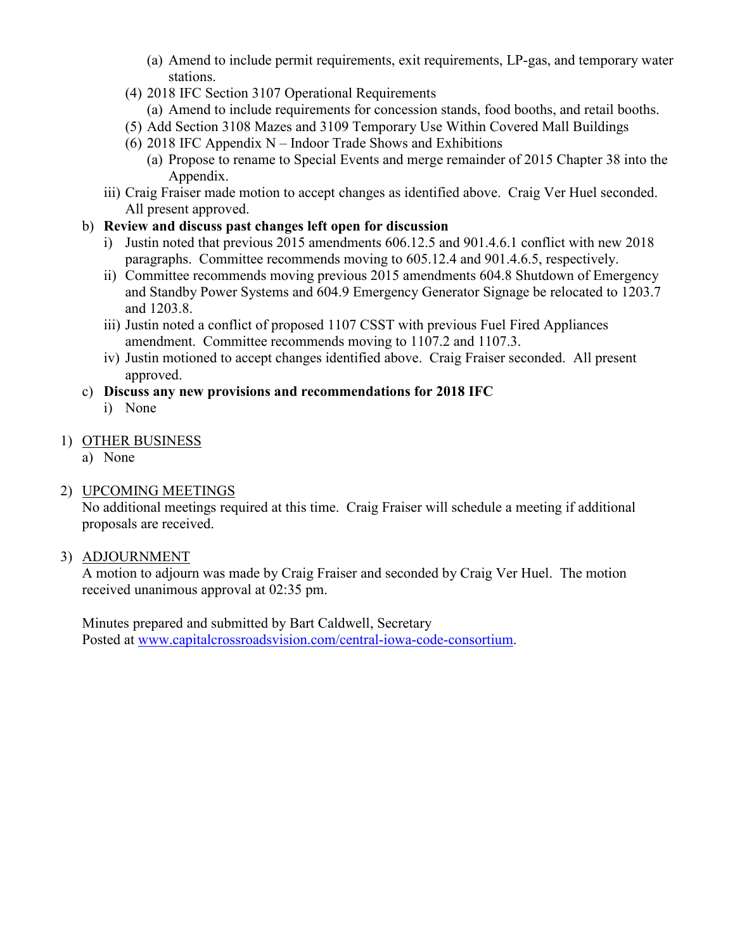- (a) Amend to include permit requirements, exit requirements, LP-gas, and temporary water stations.
- (4) 2018 IFC Section 3107 Operational Requirements
	- (a) Amend to include requirements for concession stands, food booths, and retail booths.
- (5) Add Section 3108 Mazes and 3109 Temporary Use Within Covered Mall Buildings
- (6) 2018 IFC Appendix N Indoor Trade Shows and Exhibitions
	- (a) Propose to rename to Special Events and merge remainder of 2015 Chapter 38 into the Appendix.
- iii) Craig Fraiser made motion to accept changes as identified above. Craig Ver Huel seconded. All present approved.
- b) **Review and discuss past changes left open for discussion** 
	- i) Justin noted that previous 2015 amendments 606.12.5 and 901.4.6.1 conflict with new 2018 paragraphs. Committee recommends moving to 605.12.4 and 901.4.6.5, respectively.
	- ii) Committee recommends moving previous 2015 amendments 604.8 Shutdown of Emergency and Standby Power Systems and 604.9 Emergency Generator Signage be relocated to 1203.7 and 1203.8.
	- iii) Justin noted a conflict of proposed 1107 CSST with previous Fuel Fired Appliances amendment. Committee recommends moving to 1107.2 and 1107.3.
	- iv) Justin motioned to accept changes identified above. Craig Fraiser seconded. All present approved.
- c) **Discuss any new provisions and recommendations for 2018 IFC** 
	- i) None

# 1) OTHER BUSINESS

a) None

# 2) UPCOMING MEETINGS

No additional meetings required at this time. Craig Fraiser will schedule a meeting if additional proposals are received.

# 3) ADJOURNMENT

A motion to adjourn was made by Craig Fraiser and seconded by Craig Ver Huel. The motion received unanimous approval at 02:35 pm.

Minutes prepared and submitted by Bart Caldwell, Secretary Posted at www.capitalcrossroadsvision.com/central-iowa-code-consortium.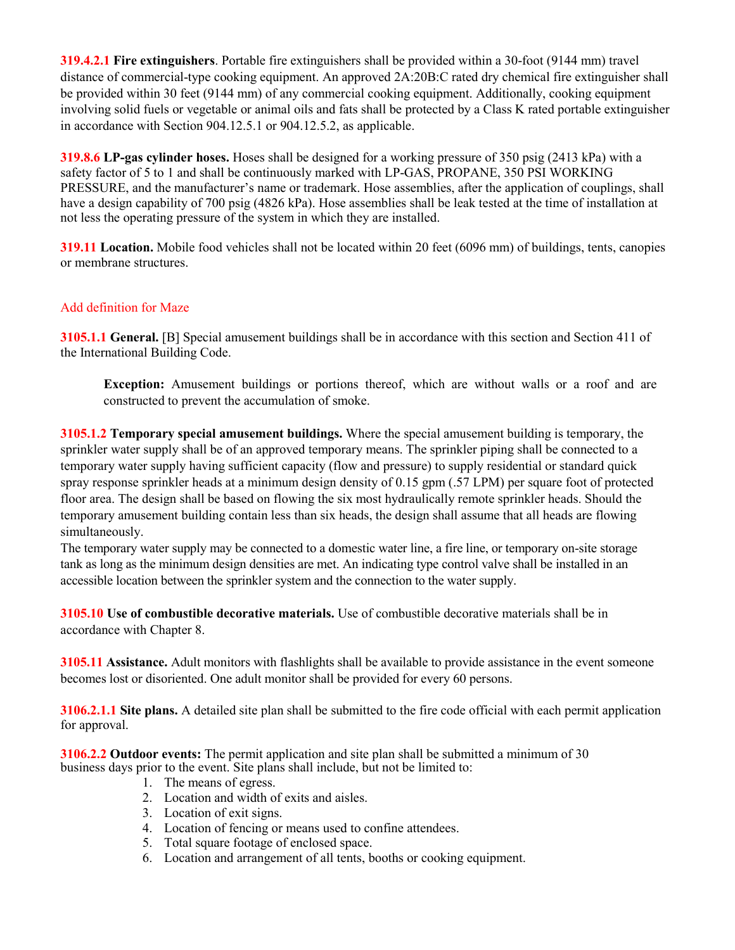**319.4.2.1 Fire extinguishers**. Portable fire extinguishers shall be provided within a 30-foot (9144 mm) travel distance of commercial-type cooking equipment. An approved 2A:20B:C rated dry chemical fire extinguisher shall be provided within 30 feet (9144 mm) of any commercial cooking equipment. Additionally, cooking equipment involving solid fuels or vegetable or animal oils and fats shall be protected by a Class K rated portable extinguisher in accordance with Section 904.12.5.1 or 904.12.5.2, as applicable.

**319.8.6 LP-gas cylinder hoses.** Hoses shall be designed for a working pressure of 350 psig (2413 kPa) with a safety factor of 5 to 1 and shall be continuously marked with LP-GAS, PROPANE, 350 PSI WORKING PRESSURE, and the manufacturer's name or trademark. Hose assemblies, after the application of couplings, shall have a design capability of 700 psig (4826 kPa). Hose assemblies shall be leak tested at the time of installation at not less the operating pressure of the system in which they are installed.

**319.11 Location.** Mobile food vehicles shall not be located within 20 feet (6096 mm) of buildings, tents, canopies or membrane structures.

### Add definition for Maze

**3105.1.1 General.** [B] Special amusement buildings shall be in accordance with this section and Section 411 of the International Building Code.

**Exception:** Amusement buildings or portions thereof, which are without walls or a roof and are constructed to prevent the accumulation of smoke.

**3105.1.2 Temporary special amusement buildings.** Where the special amusement building is temporary, the sprinkler water supply shall be of an approved temporary means. The sprinkler piping shall be connected to a temporary water supply having sufficient capacity (flow and pressure) to supply residential or standard quick spray response sprinkler heads at a minimum design density of 0.15 gpm (.57 LPM) per square foot of protected floor area. The design shall be based on flowing the six most hydraulically remote sprinkler heads. Should the temporary amusement building contain less than six heads, the design shall assume that all heads are flowing simultaneously.

The temporary water supply may be connected to a domestic water line, a fire line, or temporary on-site storage tank as long as the minimum design densities are met. An indicating type control valve shall be installed in an accessible location between the sprinkler system and the connection to the water supply.

**3105.10 Use of combustible decorative materials.** Use of combustible decorative materials shall be in accordance with Chapter 8.

**3105.11 Assistance.** Adult monitors with flashlights shall be available to provide assistance in the event someone becomes lost or disoriented. One adult monitor shall be provided for every 60 persons.

**3106.2.1.1 Site plans.** A detailed site plan shall be submitted to the fire code official with each permit application for approval.

**3106.2.2 Outdoor events:** The permit application and site plan shall be submitted a minimum of 30 business days prior to the event. Site plans shall include, but not be limited to:

- 1. The means of egress.
- 2. Location and width of exits and aisles.
- 3. Location of exit signs.
- 4. Location of fencing or means used to confine attendees.
- 5. Total square footage of enclosed space.
- 6. Location and arrangement of all tents, booths or cooking equipment.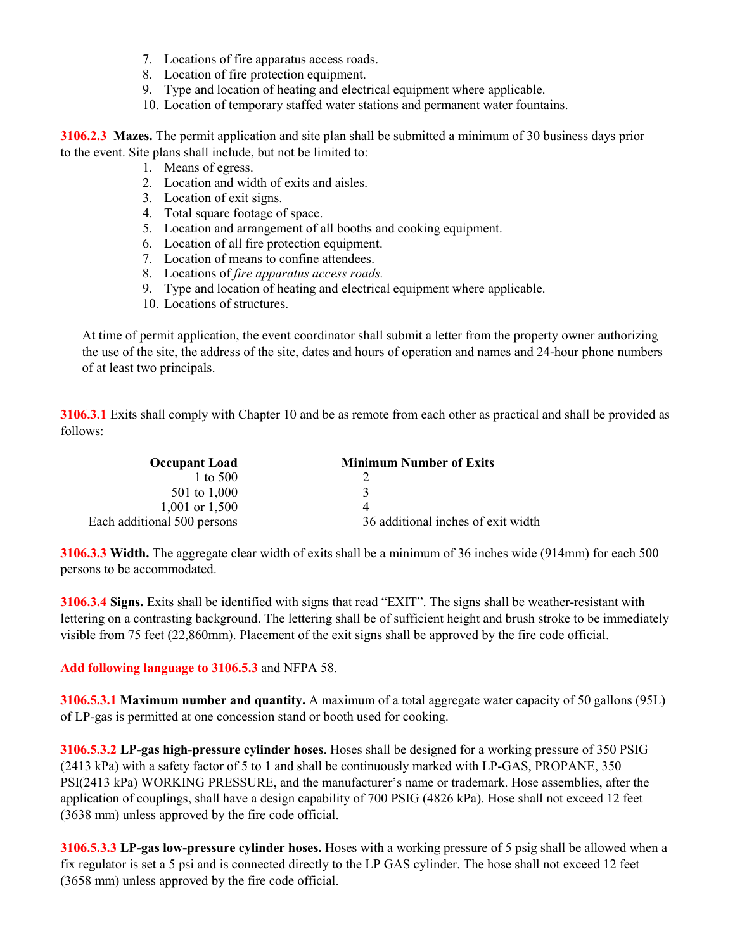- 7. Locations of fire apparatus access roads.
- 8. Location of fire protection equipment.
- 9. Type and location of heating and electrical equipment where applicable.
- 10. Location of temporary staffed water stations and permanent water fountains.

**3106.2.3 Mazes.** The permit application and site plan shall be submitted a minimum of 30 business days prior to the event. Site plans shall include, but not be limited to:

- 1. Means of egress.
- 2. Location and width of exits and aisles.
- 3. Location of exit signs.
- 4. Total square footage of space.
- 5. Location and arrangement of all booths and cooking equipment.
- 6. Location of all fire protection equipment.
- 7. Location of means to confine attendees.
- 8. Locations of *fire apparatus access roads.*
- 9. Type and location of heating and electrical equipment where applicable.
- 10. Locations of structures.

At time of permit application, the event coordinator shall submit a letter from the property owner authorizing the use of the site, the address of the site, dates and hours of operation and names and 24-hour phone numbers of at least two principals.

**3106.3.1** Exits shall comply with Chapter 10 and be as remote from each other as practical and shall be provided as follows:

| <b>Occupant Load</b>        | <b>Minimum Number of Exits</b>     |
|-----------------------------|------------------------------------|
| 1 to 500                    |                                    |
| 501 to 1,000                | 3                                  |
| 1,001 or $1,500$            |                                    |
| Each additional 500 persons | 36 additional inches of exit width |

**3106.3.3 Width.** The aggregate clear width of exits shall be a minimum of 36 inches wide (914mm) for each 500 persons to be accommodated.

**3106.3.4 Signs.** Exits shall be identified with signs that read "EXIT". The signs shall be weather-resistant with lettering on a contrasting background. The lettering shall be of sufficient height and brush stroke to be immediately visible from 75 feet (22,860mm). Placement of the exit signs shall be approved by the fire code official.

**Add following language to 3106.5.3** and NFPA 58.

**3106.5.3.1 Maximum number and quantity.** A maximum of a total aggregate water capacity of 50 gallons (95L) of LP-gas is permitted at one concession stand or booth used for cooking.

**3106.5.3.2 LP-gas high-pressure cylinder hoses**. Hoses shall be designed for a working pressure of 350 PSIG (2413 kPa) with a safety factor of 5 to 1 and shall be continuously marked with LP-GAS, PROPANE, 350 PSI(2413 kPa) WORKING PRESSURE, and the manufacturer's name or trademark. Hose assemblies, after the application of couplings, shall have a design capability of 700 PSIG (4826 kPa). Hose shall not exceed 12 feet (3638 mm) unless approved by the fire code official.

**3106.5.3.3 LP-gas low-pressure cylinder hoses.** Hoses with a working pressure of 5 psig shall be allowed when a fix regulator is set a 5 psi and is connected directly to the LP GAS cylinder. The hose shall not exceed 12 feet (3658 mm) unless approved by the fire code official.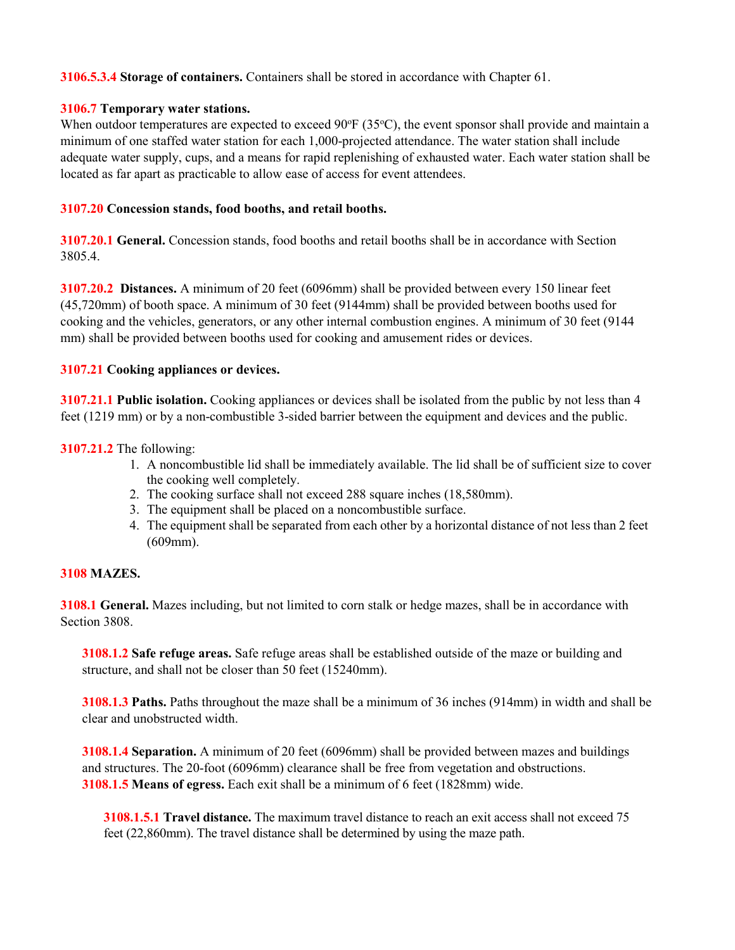**3106.5.3.4 Storage of containers.** Containers shall be stored in accordance with Chapter 61.

#### **3106.7 Temporary water stations.**

When outdoor temperatures are expected to exceed  $90^{\circ}F(35^{\circ}C)$ , the event sponsor shall provide and maintain a minimum of one staffed water station for each 1,000-projected attendance. The water station shall include adequate water supply, cups, and a means for rapid replenishing of exhausted water. Each water station shall be located as far apart as practicable to allow ease of access for event attendees.

### **3107.20 Concession stands, food booths, and retail booths.**

**3107.20.1 General.** Concession stands, food booths and retail booths shall be in accordance with Section 3805.4.

**3107.20.2 Distances.** A minimum of 20 feet (6096mm) shall be provided between every 150 linear feet (45,720mm) of booth space. A minimum of 30 feet (9144mm) shall be provided between booths used for cooking and the vehicles, generators, or any other internal combustion engines. A minimum of 30 feet (9144 mm) shall be provided between booths used for cooking and amusement rides or devices.

### **3107.21 Cooking appliances or devices.**

**3107.21.1 Public isolation.** Cooking appliances or devices shall be isolated from the public by not less than 4 feet (1219 mm) or by a non-combustible 3-sided barrier between the equipment and devices and the public.

### **3107.21.2** The following:

- 1. A noncombustible lid shall be immediately available. The lid shall be of sufficient size to cover the cooking well completely.
- 2. The cooking surface shall not exceed 288 square inches (18,580mm).
- 3. The equipment shall be placed on a noncombustible surface.
- 4. The equipment shall be separated from each other by a horizontal distance of not less than 2 feet (609mm).

### **3108 MAZES.**

**3108.1 General.** Mazes including, but not limited to corn stalk or hedge mazes, shall be in accordance with Section 3808.

**3108.1.2 Safe refuge areas.** Safe refuge areas shall be established outside of the maze or building and structure, and shall not be closer than 50 feet (15240mm).

**3108.1.3 Paths.** Paths throughout the maze shall be a minimum of 36 inches (914mm) in width and shall be clear and unobstructed width.

**3108.1.4 Separation.** A minimum of 20 feet (6096mm) shall be provided between mazes and buildings and structures. The 20-foot (6096mm) clearance shall be free from vegetation and obstructions. **3108.1.5 Means of egress.** Each exit shall be a minimum of 6 feet (1828mm) wide.

**3108.1.5.1 Travel distance.** The maximum travel distance to reach an exit access shall not exceed 75 feet (22,860mm). The travel distance shall be determined by using the maze path.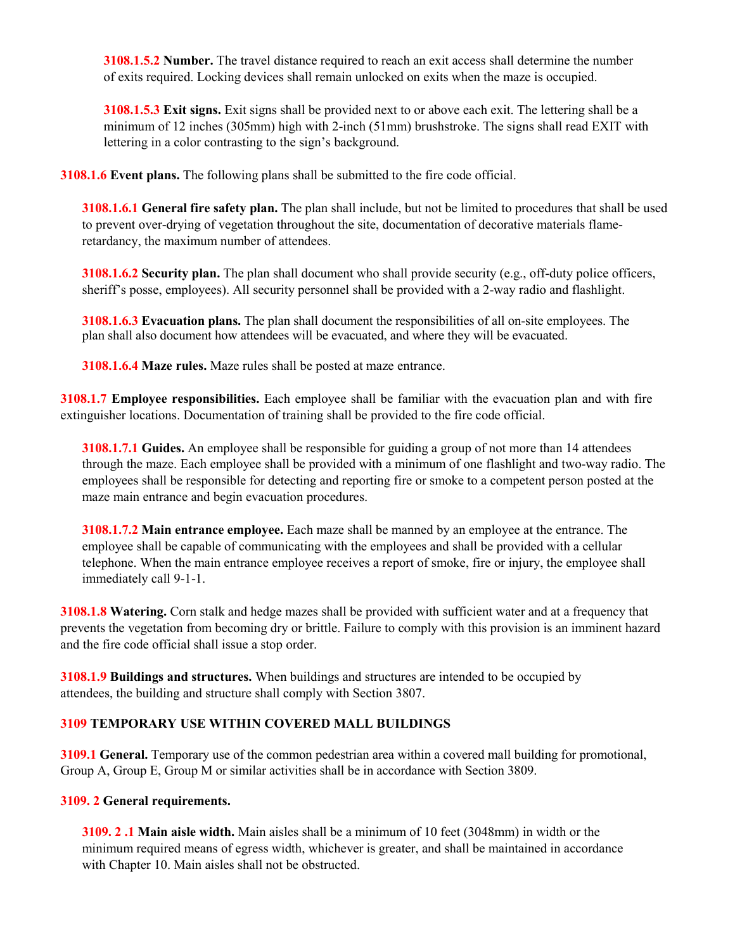**3108.1.5.2 Number.** The travel distance required to reach an exit access shall determine the number of exits required. Locking devices shall remain unlocked on exits when the maze is occupied.

**3108.1.5.3 Exit signs.** Exit signs shall be provided next to or above each exit. The lettering shall be a minimum of 12 inches (305mm) high with 2-inch (51mm) brushstroke. The signs shall read EXIT with lettering in a color contrasting to the sign's background.

**3108.1.6 Event plans.** The following plans shall be submitted to the fire code official.

**3108.1.6.1 General fire safety plan.** The plan shall include, but not be limited to procedures that shall be used to prevent over-drying of vegetation throughout the site, documentation of decorative materials flameretardancy, the maximum number of attendees.

**3108.1.6.2 Security plan.** The plan shall document who shall provide security (e.g., off-duty police officers, sheriff's posse, employees). All security personnel shall be provided with a 2-way radio and flashlight.

**3108.1.6.3 Evacuation plans.** The plan shall document the responsibilities of all on-site employees. The plan shall also document how attendees will be evacuated, and where they will be evacuated.

**3108.1.6.4 Maze rules.** Maze rules shall be posted at maze entrance.

**3108.1.7 Employee responsibilities.** Each employee shall be familiar with the evacuation plan and with fire extinguisher locations. Documentation of training shall be provided to the fire code official.

**3108.1.7.1 Guides.** An employee shall be responsible for guiding a group of not more than 14 attendees through the maze. Each employee shall be provided with a minimum of one flashlight and two-way radio. The employees shall be responsible for detecting and reporting fire or smoke to a competent person posted at the maze main entrance and begin evacuation procedures.

**3108.1.7.2 Main entrance employee.** Each maze shall be manned by an employee at the entrance. The employee shall be capable of communicating with the employees and shall be provided with a cellular telephone. When the main entrance employee receives a report of smoke, fire or injury, the employee shall immediately call 9-1-1.

**3108.1.8 Watering.** Corn stalk and hedge mazes shall be provided with sufficient water and at a frequency that prevents the vegetation from becoming dry or brittle. Failure to comply with this provision is an imminent hazard and the fire code official shall issue a stop order.

**3108.1.9 Buildings and structures.** When buildings and structures are intended to be occupied by attendees, the building and structure shall comply with Section 3807.

### **3109 TEMPORARY USE WITHIN COVERED MALL BUILDINGS**

**3109.1 General.** Temporary use of the common pedestrian area within a covered mall building for promotional, Group A, Group E, Group M or similar activities shall be in accordance with Section 3809.

#### **3109. 2 General requirements.**

**3109. 2 .1 Main aisle width.** Main aisles shall be a minimum of 10 feet (3048mm) in width or the minimum required means of egress width, whichever is greater, and shall be maintained in accordance with Chapter 10. Main aisles shall not be obstructed.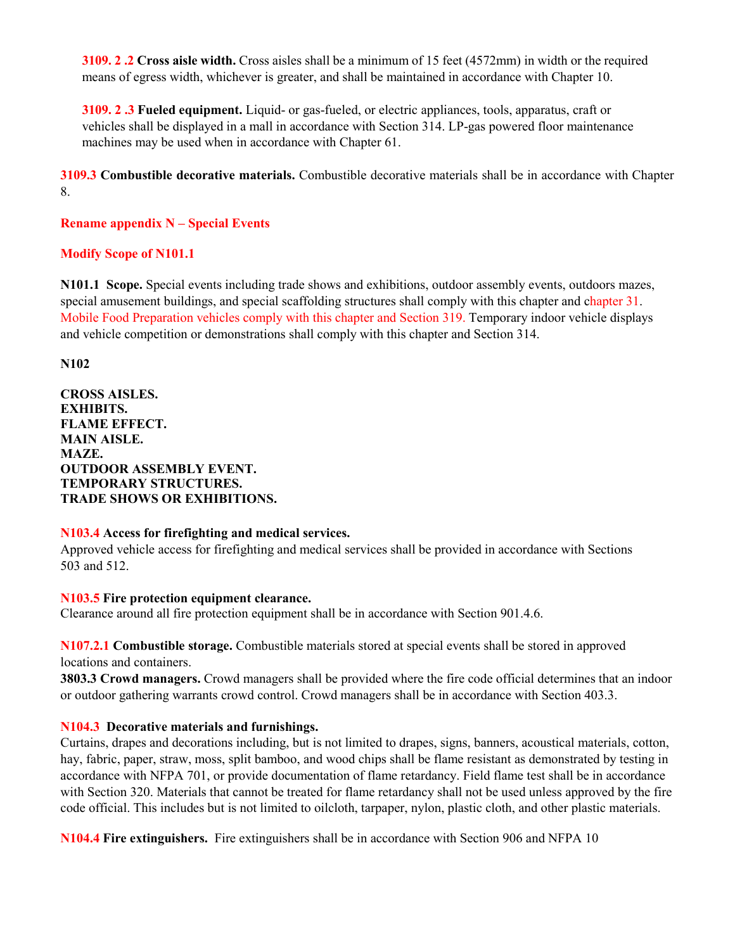**3109. 2 .2 Cross aisle width.** Cross aisles shall be a minimum of 15 feet (4572mm) in width or the required means of egress width, whichever is greater, and shall be maintained in accordance with Chapter 10.

**3109. 2 .3 Fueled equipment.** Liquid- or gas-fueled, or electric appliances, tools, apparatus, craft or vehicles shall be displayed in a mall in accordance with Section 314. LP-gas powered floor maintenance machines may be used when in accordance with Chapter 61.

**3109.3 Combustible decorative materials.** Combustible decorative materials shall be in accordance with Chapter 8.

**Rename appendix N – Special Events** 

### **Modify Scope of N101.1**

**N101.1 Scope.** Special events including trade shows and exhibitions, outdoor assembly events, outdoors mazes, special amusement buildings, and special scaffolding structures shall comply with this chapter and chapter 31. Mobile Food Preparation vehicles comply with this chapter and Section 319. Temporary indoor vehicle displays and vehicle competition or demonstrations shall comply with this chapter and Section 314.

**N102** 

**CROSS AISLES. EXHIBITS. FLAME EFFECT. MAIN AISLE. MAZE. OUTDOOR ASSEMBLY EVENT. TEMPORARY STRUCTURES. TRADE SHOWS OR EXHIBITIONS.** 

#### **N103.4 Access for firefighting and medical services.**

Approved vehicle access for firefighting and medical services shall be provided in accordance with Sections 503 and 512.

**N103.5 Fire protection equipment clearance.** 

Clearance around all fire protection equipment shall be in accordance with Section 901.4.6.

**N107.2.1 Combustible storage.** Combustible materials stored at special events shall be stored in approved locations and containers.

**3803.3 Crowd managers.** Crowd managers shall be provided where the fire code official determines that an indoor or outdoor gathering warrants crowd control. Crowd managers shall be in accordance with Section 403.3.

### **N104.3 Decorative materials and furnishings.**

Curtains, drapes and decorations including, but is not limited to drapes, signs, banners, acoustical materials, cotton, hay, fabric, paper, straw, moss, split bamboo, and wood chips shall be flame resistant as demonstrated by testing in accordance with NFPA 701, or provide documentation of flame retardancy. Field flame test shall be in accordance with Section 320. Materials that cannot be treated for flame retardancy shall not be used unless approved by the fire code official. This includes but is not limited to oilcloth, tarpaper, nylon, plastic cloth, and other plastic materials.

**N104.4 Fire extinguishers.** Fire extinguishers shall be in accordance with Section 906 and NFPA 10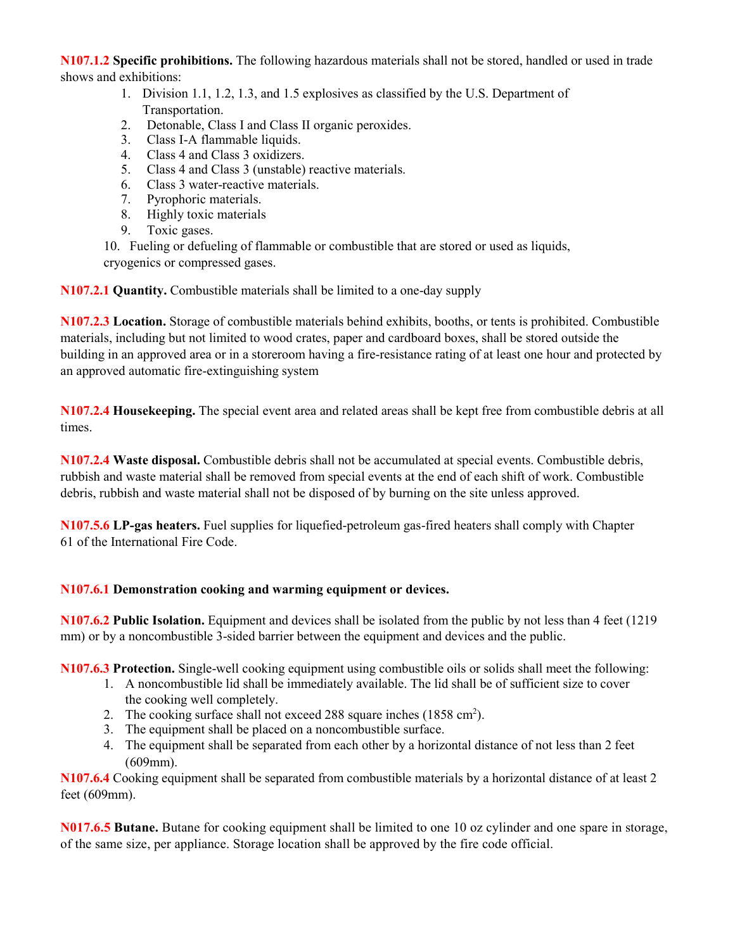**N107.1.2 Specific prohibitions.** The following hazardous materials shall not be stored, handled or used in trade shows and exhibitions:

- 1. Division 1.1, 1.2, 1.3, and 1.5 explosives as classified by the U.S. Department of Transportation.
- 2. Detonable, Class I and Class II organic peroxides.
- 3. Class I-A flammable liquids.
- 4. Class 4 and Class 3 oxidizers.
- 5. Class 4 and Class 3 (unstable) reactive materials.
- 6. Class 3 water-reactive materials.
- 7. Pyrophoric materials.
- 8. Highly toxic materials
- 9. Toxic gases.

10. Fueling or defueling of flammable or combustible that are stored or used as liquids, cryogenics or compressed gases.

**N107.2.1 Quantity.** Combustible materials shall be limited to a one-day supply

**N107.2.3 Location.** Storage of combustible materials behind exhibits, booths, or tents is prohibited. Combustible materials, including but not limited to wood crates, paper and cardboard boxes, shall be stored outside the building in an approved area or in a storeroom having a fire-resistance rating of at least one hour and protected by an approved automatic fire-extinguishing system

**N107.2.4 Housekeeping.** The special event area and related areas shall be kept free from combustible debris at all times.

**N107.2.4 Waste disposal.** Combustible debris shall not be accumulated at special events. Combustible debris, rubbish and waste material shall be removed from special events at the end of each shift of work. Combustible debris, rubbish and waste material shall not be disposed of by burning on the site unless approved.

**N107.5.6 LP-gas heaters.** Fuel supplies for liquefied-petroleum gas-fired heaters shall comply with Chapter 61 of the International Fire Code.

# **N107.6.1 Demonstration cooking and warming equipment or devices.**

**N107.6.2 Public Isolation.** Equipment and devices shall be isolated from the public by not less than 4 feet (1219 mm) or by a noncombustible 3-sided barrier between the equipment and devices and the public.

**N107.6.3 Protection.** Single-well cooking equipment using combustible oils or solids shall meet the following:

- 1. A noncombustible lid shall be immediately available. The lid shall be of sufficient size to cover the cooking well completely.
- 2. The cooking surface shall not exceed 288 square inches (1858 cm<sup>2</sup>).
- 3. The equipment shall be placed on a noncombustible surface.
- 4. The equipment shall be separated from each other by a horizontal distance of not less than 2 feet (609mm).

**N107.6.4** Cooking equipment shall be separated from combustible materials by a horizontal distance of at least 2 feet (609mm).

**N017.6.5 Butane.** Butane for cooking equipment shall be limited to one 10 oz cylinder and one spare in storage, of the same size, per appliance. Storage location shall be approved by the fire code official.